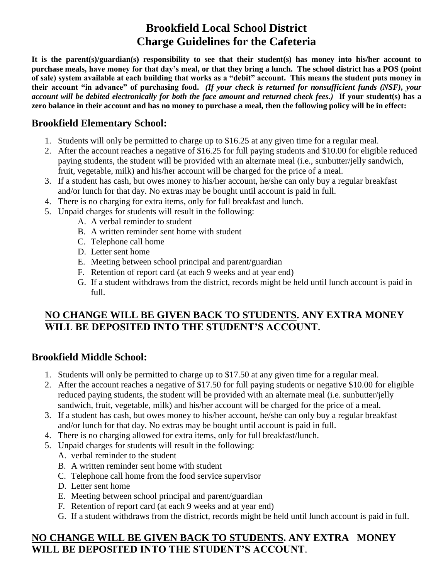## **Brookfield Local School District Charge Guidelines for the Cafeteria**

**It is the parent(s)/guardian(s) responsibility to see that their student(s) has money into his/her account to purchase meals, have money for that day's meal, or that they bring a lunch. The school district has a POS (point of sale) system available at each building that works as a "debit" account. This means the student puts money in their account "in advance" of purchasing food.** *(If your check is returned for nonsufficient funds (NSF), your account will be debited electronically for both the face amount and returned check fees.)* **If your student(s) has a zero balance in their account and has no money to purchase a meal, then the following policy will be in effect:**

#### **Brookfield Elementary School:**

- 1. Students will only be permitted to charge up to \$16.25 at any given time for a regular meal.
- 2. After the account reaches a negative of \$16.25 for full paying students and \$10.00 for eligible reduced paying students, the student will be provided with an alternate meal (i.e., sunbutter/jelly sandwich, fruit, vegetable, milk) and his/her account will be charged for the price of a meal.
- 3. If a student has cash, but owes money to his/her account, he/she can only buy a regular breakfast and/or lunch for that day. No extras may be bought until account is paid in full.
- 4. There is no charging for extra items, only for full breakfast and lunch.
- 5. Unpaid charges for students will result in the following:
	- A. A verbal reminder to student
	- B. A written reminder sent home with student
	- C. Telephone call home
	- D. Letter sent home
	- E. Meeting between school principal and parent/guardian
	- F. Retention of report card (at each 9 weeks and at year end)
	- G. If a student withdraws from the district, records might be held until lunch account is paid in full.

#### **NO CHANGE WILL BE GIVEN BACK TO STUDENTS. ANY EXTRA MONEY WILL BE DEPOSITED INTO THE STUDENT'S ACCOUNT.**

#### **Brookfield Middle School:**

- 1. Students will only be permitted to charge up to \$17.50 at any given time for a regular meal.
- 2. After the account reaches a negative of \$17.50 for full paying students or negative \$10.00 for eligible reduced paying students, the student will be provided with an alternate meal (i.e. sunbutter/jelly sandwich, fruit, vegetable, milk) and his/her account will be charged for the price of a meal.
- 3. If a student has cash, but owes money to his/her account, he/she can only buy a regular breakfast and/or lunch for that day. No extras may be bought until account is paid in full.
- 4. There is no charging allowed for extra items, only for full breakfast/lunch.
- 5. Unpaid charges for students will result in the following:
	- A. verbal reminder to the student
	- B. A written reminder sent home with student
	- C. Telephone call home from the food service supervisor
	- D. Letter sent home
	- E. Meeting between school principal and parent/guardian
	- F. Retention of report card (at each 9 weeks and at year end)
	- G. If a student withdraws from the district, records might be held until lunch account is paid in full.

#### **NO CHANGE WILL BE GIVEN BACK TO STUDENTS. ANY EXTRA MONEY WILL BE DEPOSITED INTO THE STUDENT'S ACCOUNT**.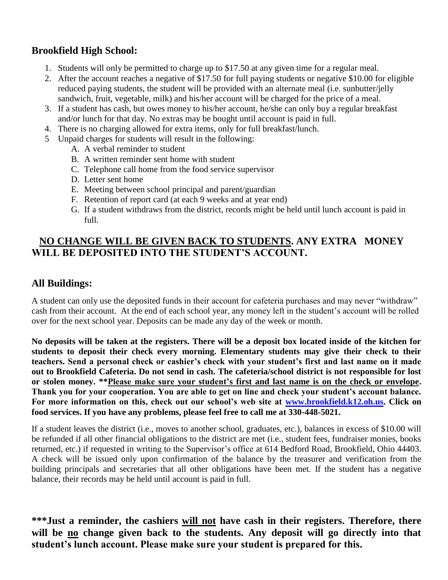#### **Brookfield High School:**

- 1. Students will only be permitted to charge up to \$17.50 at any given time for a regular meal.
- 2. After the account reaches a negative of \$17.50 for full paying students or negative \$10.00 for eligible reduced paying students, the student will be provided with an alternate meal (i.e. sunbutter/jelly sandwich, fruit, vegetable, milk) and his/her account will be charged for the price of a meal.
- 3. If a student has cash, but owes money to his/her account, he/she can only buy a regular breakfast and/or lunch for that day. No extras may be bought until account is paid in full.
- 4. There is no charging allowed for extra items, only for full breakfast/lunch.
- 5 Unpaid charges for students will result in the following:
	- A. A verbal reminder to student
	- B. A written reminder sent home with student
	- C. Telephone call home from the food service supervisor
	- D. Letter sent home
	- E. Meeting between school principal and parent/guardian
	- F. Retention of report card (at each 9 weeks and at year end)
	- G. If a student withdraws from the district, records might be held until lunch account is paid in full.

#### **NO CHANGE WILL BE GIVEN BACK TO STUDENTS. ANY EXTRA MONEY WILL BE DEPOSITED INTO THE STUDENT'S ACCOUNT.**

#### **All Buildings:**

A student can only use the deposited funds in their account for cafeteria purchases and may never "withdraw" cash from their account. At the end of each school year, any money left in the student's account will be rolled over for the next school year. Deposits can be made any day of the week or month.

**No deposits will be taken at the registers. There will be a deposit box located inside of the kitchen for students to deposit their check every morning. Elementary students may give their check to their teachers. Send a personal check or cashier's check with your student's first and last name on it made out to Brookfield Cafeteria. Do not send in cash. The cafeteria/school district is not responsible for lost or stolen money. \*\*Please make sure your student's first and last name is on the check or envelope. Thank you for your cooperation. You are able to get on line and check your student's account balance. For more information on this, check out our school's web site at [www.brookfield.k12.oh.us.](http://www.brookfield.k12.oh.us/) Click on food services. If you have any problems, please feel free to call me at 330-448-5021.**

If a student leaves the district (i.e., moves to another school, graduates, etc.), balances in excess of \$10.00 will be refunded if all other financial obligations to the district are met (i.e., student fees, fundraiser monies, books returned, etc.) if requested in writing to the Supervisor's office at 614 Bedford Road, Brookfield, Ohio 44403. A check will be issued only upon confirmation of the balance by the treasurer and verification from the building principals and secretaries that all other obligations have been met. If the student has a negative balance, their records may be held until account is paid in full.

**\*\*\*Just a reminder, the cashiers will not have cash in their registers. Therefore, there will be no change given back to the students. Any deposit will go directly into that student's lunch account. Please make sure your student is prepared for this.**